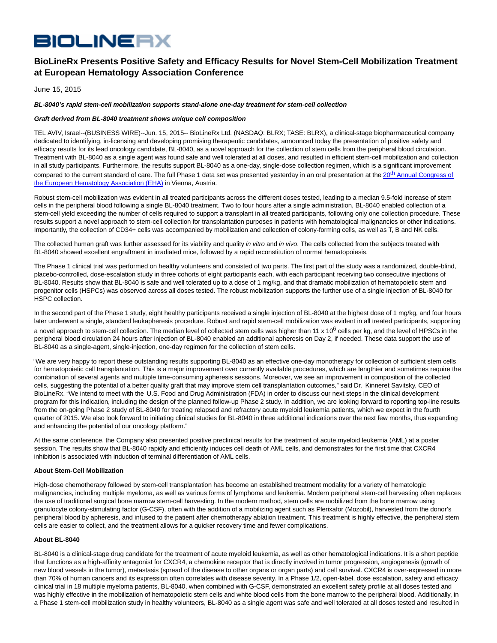# **BIOLINERX**

## **BioLineRx Presents Positive Safety and Efficacy Results for Novel Stem-Cell Mobilization Treatment at European Hematology Association Conference**

June 15, 2015

### **BL-8040's rapid stem-cell mobilization supports stand-alone one-day treatment for stem-cell collection**

### **Graft derived from BL-8040 treatment shows unique cell composition**

TEL AVIV, Israel--(BUSINESS WIRE)--Jun. 15, 2015-- BioLineRx Ltd. (NASDAQ: BLRX; TASE: BLRX), a clinical-stage biopharmaceutical company dedicated to identifying, in-licensing and developing promising therapeutic candidates, announced today the presentation of positive safety and efficacy results for its lead oncology candidate, BL-8040, as a novel approach for the collection of stem cells from the peripheral blood circulation. Treatment with BL-8040 as a single agent was found safe and well tolerated at all doses, and resulted in efficient stem-cell mobilization and collection in all study participants. Furthermore, the results support BL-8040 as a one-day, single-dose collection regimen, which is a significant improvement compared to the current standard of care. The full Phase 1 data set was presented yesterday in an oral presentation at the 20<sup>th</sup> [Annual Congress of](http://cts.businesswire.com/ct/CT?id=smartlink&url=http%3A%2F%2Fwww.ehaweb.org%2Fcongress-and-events%2F20th-congress%2Fkey-information%2F&esheet=51123810&newsitemid=20150615005586&lan=en-US&anchor=20th%C2%A0Annual%C2%A0Congress%C2%A0of+the%C2%A0European+Hematology+Association%C2%A0%28EHA%29&index=1&md5=c4135711a106cde8c8438e194bacd5ee) the European Hematology Association (EHA) in Vienna, Austria.

Robust stem-cell mobilization was evident in all treated participants across the different doses tested, leading to a median 9.5-fold increase of stem cells in the peripheral blood following a single BL-8040 treatment. Two to four hours after a single administration, BL-8040 enabled collection of a stem-cell yield exceeding the number of cells required to support a transplant in all treated participants, following only one collection procedure. These results support a novel approach to stem-cell collection for transplantation purposes in patients with hematological malignancies or other indications. Importantly, the collection of CD34+ cells was accompanied by mobilization and collection of colony-forming cells, as well as T, B and NK cells.

The collected human graft was further assessed for its viability and quality in vitro and in vivo. The cells collected from the subjects treated with BL-8040 showed excellent engraftment in irradiated mice, followed by a rapid reconstitution of normal hematopoiesis.

The Phase 1 clinical trial was performed on healthy volunteers and consisted of two parts. The first part of the study was a randomized, double-blind, placebo-controlled, dose-escalation study in three cohorts of eight participants each, with each participant receiving two consecutive injections of BL-8040. Results show that BL-8040 is safe and well tolerated up to a dose of 1 mg/kg, and that dramatic mobilization of hematopoietic stem and progenitor cells (HSPCs) was observed across all doses tested. The robust mobilization supports the further use of a single injection of BL-8040 for HSPC collection.

In the second part of the Phase 1 study, eight healthy participants received a single injection of BL-8040 at the highest dose of 1 mg/kg, and four hours later underwent a single, standard leukapheresis procedure. Robust and rapid stem-cell mobilization was evident in all treated participants, supporting a novel approach to stem-cell collection. The median level of collected stem cells was higher than 11 x 10<sup>6</sup> cells per kg, and the level of HPSCs in the peripheral blood circulation 24 hours after injection of BL-8040 enabled an additional apheresis on Day 2, if needed. These data support the use of BL-8040 as a single-agent, single-injection, one-day regimen for the collection of stem cells.

"We are very happy to report these outstanding results supporting BL-8040 as an effective one-day monotherapy for collection of sufficient stem cells for hematopoietic cell transplantation. This is a major improvement over currently available procedures, which are lengthier and sometimes require the combination of several agents and multiple time-consuming apheresis sessions. Moreover, we see an improvement in composition of the collected cells, suggesting the potential of a better quality graft that may improve stem cell transplantation outcomes," said Dr. Kinneret Savitsky, CEO of BioLineRx. "We intend to meet with the U.S. Food and Drug Administration (FDA) in order to discuss our next steps in the clinical development program for this indication, including the design of the planned follow-up Phase 2 study. In addition, we are looking forward to reporting top-line results from the on-going Phase 2 study of BL-8040 for treating relapsed and refractory acute myeloid leukemia patients, which we expect in the fourth quarter of 2015. We also look forward to initiating clinical studies for BL-8040 in three additional indications over the next few months, thus expanding and enhancing the potential of our oncology platform."

At the same conference, the Company also presented positive preclinical results for the treatment of acute myeloid leukemia (AML) at a poster session. The results show that BL-8040 rapidly and efficiently induces cell death of AML cells, and demonstrates for the first time that CXCR4 inhibition is associated with induction of terminal differentiation of AML cells.

### **About Stem-Cell Mobilization**

High-dose chemotherapy followed by stem-cell transplantation has become an established treatment modality for a variety of hematologic malignancies, including multiple myeloma, as well as various forms of lymphoma and leukemia. Modern peripheral stem-cell harvesting often replaces the use of traditional surgical bone marrow stem-cell harvesting. In the modern method, stem cells are mobilized from the bone marrow using granulocyte colony-stimulating factor (G-CSF), often with the addition of a mobilizing agent such as Plerixafor (Mozobil), harvested from the donor's peripheral blood by apheresis, and infused to the patient after chemotherapy ablation treatment. This treatment is highly effective, the peripheral stem cells are easier to collect, and the treatment allows for a quicker recovery time and fewer complications.

#### **About BL-8040**

BL-8040 is a clinical-stage drug candidate for the treatment of acute myeloid leukemia, as well as other hematological indications. It is a short peptide that functions as a high-affinity antagonist for CXCR4, a chemokine receptor that is directly involved in tumor progression, angiogenesis (growth of new blood vessels in the tumor), metastasis (spread of the disease to other organs or organ parts) and cell survival. CXCR4 is over-expressed in more than 70% of human cancers and its expression often correlates with disease severity. In a Phase 1/2, open-label, dose escalation, safety and efficacy clinical trial in 18 multiple myeloma patients, BL-8040, when combined with G-CSF, demonstrated an excellent safety profile at all doses tested and was highly effective in the mobilization of hematopoietic stem cells and white blood cells from the bone marrow to the peripheral blood. Additionally, in a Phase 1 stem-cell mobilization study in healthy volunteers, BL-8040 as a single agent was safe and well tolerated at all doses tested and resulted in